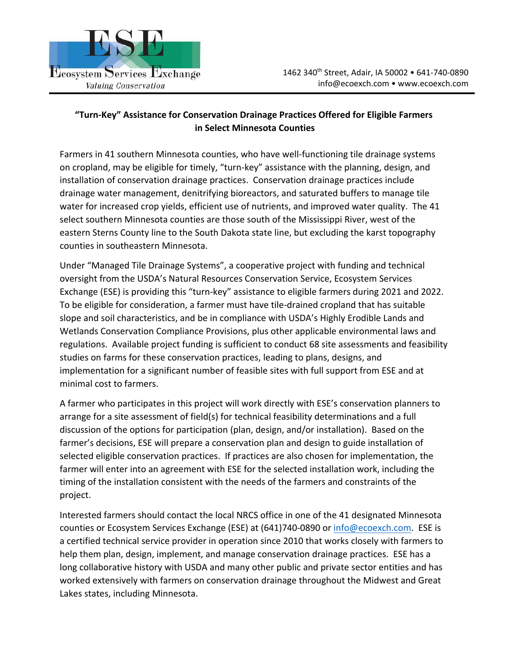

## **"Turn‐Key" Assistance for Conservation Drainage Practices Offered for Eligible Farmers in Select Minnesota Counties**

Farmers in 41 southern Minnesota counties, who have well-functioning tile drainage systems on cropland, may be eligible for timely, "turn‐key" assistance with the planning, design, and installation of conservation drainage practices. Conservation drainage practices include drainage water management, denitrifying bioreactors, and saturated buffers to manage tile water for increased crop yields, efficient use of nutrients, and improved water quality. The 41 select southern Minnesota counties are those south of the Mississippi River, west of the eastern Sterns County line to the South Dakota state line, but excluding the karst topography counties in southeastern Minnesota.

Under "Managed Tile Drainage Systems", a cooperative project with funding and technical oversight from the USDA's Natural Resources Conservation Service, Ecosystem Services Exchange (ESE) is providing this "turn‐key" assistance to eligible farmers during 2021 and 2022. To be eligible for consideration, a farmer must have tile‐drained cropland that has suitable slope and soil characteristics, and be in compliance with USDA's Highly Erodible Lands and Wetlands Conservation Compliance Provisions, plus other applicable environmental laws and regulations. Available project funding is sufficient to conduct 68 site assessments and feasibility studies on farms for these conservation practices, leading to plans, designs, and implementation for a significant number of feasible sites with full support from ESE and at minimal cost to farmers.

A farmer who participates in this project will work directly with ESE's conservation planners to arrange for a site assessment of field(s) for technical feasibility determinations and a full discussion of the options for participation (plan, design, and/or installation). Based on the farmer's decisions, ESE will prepare a conservation plan and design to guide installation of selected eligible conservation practices. If practices are also chosen for implementation, the farmer will enter into an agreement with ESE for the selected installation work, including the timing of the installation consistent with the needs of the farmers and constraints of the project.

Interested farmers should contact the local NRCS office in one of the 41 designated Minnesota counties or Ecosystem Services Exchange (ESE) at (641)740-0890 or info@ecoexch.com. ESE is a certified technical service provider in operation since 2010 that works closely with farmers to help them plan, design, implement, and manage conservation drainage practices. ESE has a long collaborative history with USDA and many other public and private sector entities and has worked extensively with farmers on conservation drainage throughout the Midwest and Great Lakes states, including Minnesota.